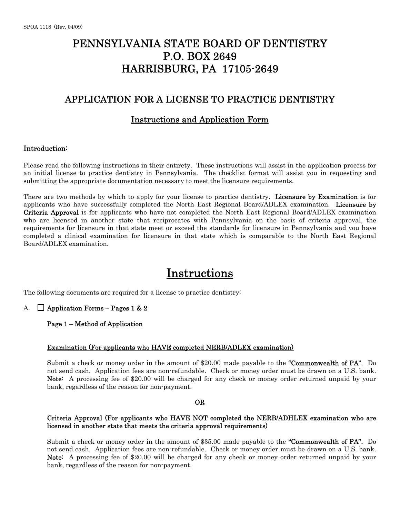## PENNSYLVANIA STATE BOARD OF DENTISTRY P.O. BOX 2649 HARRISBURG, PA 17105-2649

## APPLICATION FOR A LICENSE TO PRACTICE DENTISTRY

## Instructions and Application Form

## Introduction:

Please read the following instructions in their entirety. These instructions will assist in the application process for an initial license to practice dentistry in Pennsylvania. The checklist format will assist you in requesting and submitting the appropriate documentation necessary to meet the licensure requirements.

There are two methods by which to apply for your license to practice dentistry. Licensure by Examination is for applicants who have successfully completed the North East Regional Board/ADLEX examination. Licensure by Criteria Approval is for applicants who have not completed the North East Regional Board/ADLEX examination who are licensed in another state that reciprocates with Pennsylvania on the basis of criteria approval, the requirements for licensure in that state meet or exceed the standards for licensure in Pennsylvania and you have completed a clinical examination for licensure in that state which is comparable to the North East Regional Board/ADLEX examination.

## Instructions

The following documents are required for a license to practice dentistry:

## A.  $\Box$  Application Forms – Pages 1 & 2

#### Page 1 – Method of Application

#### Examination (For applicants who HAVE completed NERB/ADLEX examination)

Submit a check or money order in the amount of \$20.00 made payable to the "Commonwealth of PA". Do not send cash. Application fees are non-refundable. Check or money order must be drawn on a U.S. bank. Note: A processing fee of \$20.00 will be charged for any check or money order returned unpaid by your bank, regardless of the reason for non-payment.

#### OR

## Criteria Approval (For applicants who HAVE NOT completed the NERB/ADHLEX examination who are licensed in another state that meets the criteria approval requirements)

Submit a check or money order in the amount of \$35.00 made payable to the "Commonwealth of PA". Do not send cash. Application fees are non-refundable. Check or money order must be drawn on a U.S. bank. Note: A processing fee of \$20.00 will be charged for any check or money order returned unpaid by your bank, regardless of the reason for non-payment.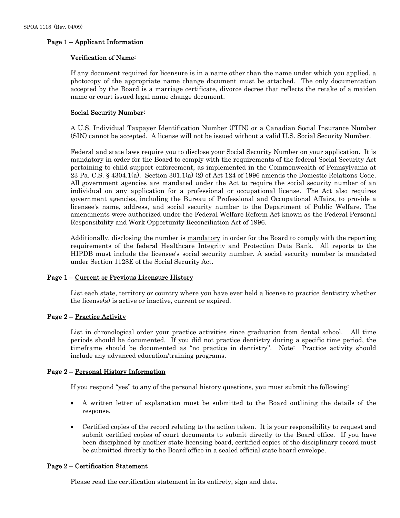## Page 1 – Applicant Information

## Verification of Name:

If any document required for licensure is in a name other than the name under which you applied, a photocopy of the appropriate name change document must be attached. The only documentation accepted by the Board is a marriage certificate, divorce decree that reflects the retake of a maiden name or court issued legal name change document.

## Social Security Number:

A U.S. Individual Taxpayer Identification Number (ITIN) or a Canadian Social Insurance Number (SIN) cannot be accepted. A license will not be issued without a valid U.S. Social Security Number.

Federal and state laws require you to disclose your Social Security Number on your application. It is mandatory in order for the Board to comply with the requirements of the federal Social Security Act pertaining to child support enforcement, as implemented in the Commonwealth of Pennsylvania at 23 Pa. C.S. § 4304.1(a). Section 301.1(a) (2) of Act 124 of 1996 amends the Domestic Relations Code. All government agencies are mandated under the Act to require the social security number of an individual on any application for a professional or occupational license. The Act also requires government agencies, including the Bureau of Professional and Occupational Affairs, to provide a licensee's name, address, and social security number to the Department of Public Welfare. The amendments were authorized under the Federal Welfare Reform Act known as the Federal Personal Responsibility and Work Opportunity Reconciliation Act of 1996.

Additionally, disclosing the number is mandatory in order for the Board to comply with the reporting requirements of the federal Healthcare Integrity and Protection Data Bank. All reports to the HIPDB must include the licensee's social security number. A social security number is mandated under Section 1128E of the Social Security Act.

## Page 1 – Current or Previous Licensure History

List each state, territory or country where you have ever held a license to practice dentistry whether the license(s) is active or inactive, current or expired.

## Page 2 – Practice Activity

List in chronological order your practice activities since graduation from dental school. All time periods should be documented. If you did not practice dentistry during a specific time period, the timeframe should be documented as "no practice in dentistry". Note: Practice activity should include any advanced education/training programs.

## Page 2 – Personal History Information

If you respond "yes" to any of the personal history questions, you must submit the following:

- A written letter of explanation must be submitted to the Board outlining the details of the response.
- Certified copies of the record relating to the action taken. It is your responsibility to request and submit certified copies of court documents to submit directly to the Board office. If you have been disciplined by another state licensing board, certified copies of the disciplinary record must be submitted directly to the Board office in a sealed official state board envelope.

#### Page 2 – Certification Statement

Please read the certification statement in its entirety, sign and date.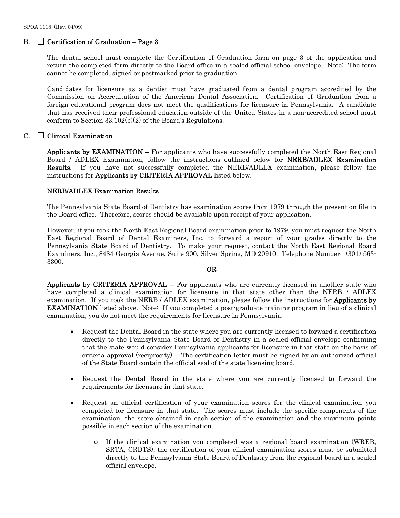## B.  $\Box$  Certification of Graduation – Page 3

The dental school must complete the Certification of Graduation form on page 3 of the application and return the completed form directly to the Board office in a sealed official school envelope. Note: The form cannot be completed, signed or postmarked prior to graduation.

Candidates for licensure as a dentist must have graduated from a dental program accredited by the Commission on Accreditation of the American Dental Association. Certification of Graduation from a foreign educational program does not meet the qualifications for licensure in Pennsylvania. A candidate that has received their professional education outside of the United States in a non-accredited school must conform to Section 33.102(b)(2) of the Board's Regulations.

## $C. \square$  Clinical Examination

Applicants by **EXAMINATION** – For applicants who have successfully completed the North East Regional Board / ADLEX Examination, follow the instructions outlined below for **NERB/ADLEX Examination** Results. If you have not successfully completed the NERB/ADLEX examination, please follow the instructions for Applicants by CRITERIA APPROVAL listed below.

## NERB/ADLEX Examination Results

The Pennsylvania State Board of Dentistry has examination scores from 1979 through the present on file in the Board office. Therefore, scores should be available upon receipt of your application.

However, if you took the North East Regional Board examination prior to 1979, you must request the North East Regional Board of Dental Examiners, Inc. to forward a report of your grades directly to the Pennsylvania State Board of Dentistry. To make your request, contact the North East Regional Board Examiners, Inc., 8484 Georgia Avenue, Suite 900, Silver Spring, MD 20910. Telephone Number: (301) 563- 3300.

#### OR

Applicants by CRITERIA APPROVAL – For applicants who are currently licensed in another state who have completed a clinical examination for licensure in that state other than the NERB / ADLEX examination. If you took the NERB / ADLEX examination, please follow the instructions for Applicants by EXAMINATION listed above. Note: If you completed a post-graduate training program in lieu of a clinical examination, you do not meet the requirements for licensure in Pennsylvania.

- Request the Dental Board in the state where you are currently licensed to forward a certification directly to the Pennsylvania State Board of Dentistry in a sealed official envelope confirming that the state would consider Pennsylvania applicants for licensure in that state on the basis of criteria approval (reciprocity). The certification letter must be signed by an authorized official of the State Board contain the official seal of the state licensing board.
- Request the Dental Board in the state where you are currently licensed to forward the requirements for licensure in that state.
- Request an official certification of your examination scores for the clinical examination you completed for licensure in that state. The scores must include the specific components of the examination, the score obtained in each section of the examination and the maximum points possible in each section of the examination.
	- o If the clinical examination you completed was a regional board examination (WREB, SRTA, CRDTS), the certification of your clinical examination scores must be submitted directly to the Pennsylvania State Board of Dentistry from the regional board in a sealed official envelope.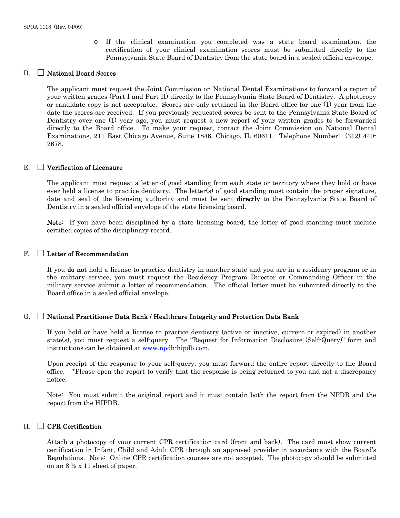o If the clinical examination you completed was a state board examination, the certification of your clinical examination scores must be submitted directly to the Pennsylvania State Board of Dentistry from the state board in a sealed official envelope.

## D. National Board Scores

The applicant must request the Joint Commission on National Dental Examinations to forward a report of your written grades (Part I and Part II) directly to the Pennsylvania State Board of Dentistry. A photocopy or candidate copy is not acceptable. Scores are only retained in the Board office for one (1) year from the date the scores are received. If you previously requested scores be sent to the Pennsylvania State Board of Dentistry over one (1) year ago, you must request a new report of your written grades to be forwarded directly to the Board office. To make your request, contact the Joint Commission on National Dental Examinations, 211 East Chicago Avenue, Suite 1846, Chicago, IL 60611. Telephone Number: (312) 440- 2678.

#### $E.$  Verification of Licensure

The applicant must request a letter of good standing from each state or territory where they hold or have ever held a license to practice dentistry. The letter(s) of good standing must contain the proper signature, date and seal of the licensing authority and must be sent **directly** to the Pennsylvania State Board of Dentistry in a sealed official envelope of the state licensing board.

Note: If you have been disciplined by a state licensing board, the letter of good standing must include certified copies of the disciplinary record.

#### $F. \Box$  Letter of Recommendation

If you do not hold a license to practice dentistry in another state and you are in a residency program or in the military service, you must request the Residency Program Director or Commanding Officer in the military service submit a letter of recommendation. The official letter must be submitted directly to the Board office in a sealed official envelope.

#### $G. \Box$  National Practitioner Data Bank / Healthcare Integrity and Protection Data Bank

If you hold or have held a license to practice dentistry (active or inactive, current or expired) in another state(s), you must request a self-query. The "Request for Information Disclosure (Self-Query)" form and instructions can be obtained at [www.npdb-hipdb.com](http://www.npdb-hipdb.com/).

Upon receipt of the response to your self-query, you must forward the entire report directly to the Board office. \*Please open the report to verify that the response is being returned to you and not a discrepancy notice.

Note: You must submit the original report and it must contain both the report from the NPDB and the report from the HIPDB.

#### $H. \Box$  CPR Certification

Attach a photocopy of your current CPR certification card (front and back). The card must show current certification in Infant, Child and Adult CPR through an approved provider in accordance with the Board's Regulations. Note: Online CPR certification courses are not accepted. The photocopy should be submitted on an 8 ½ x 11 sheet of paper.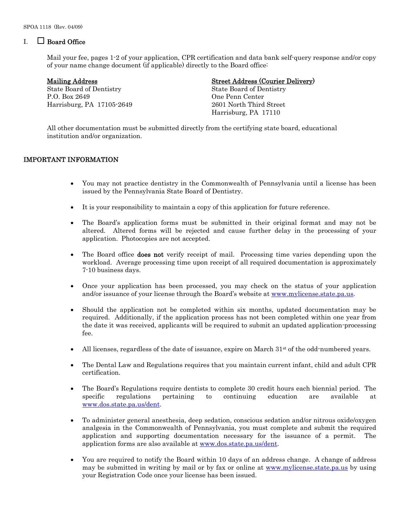## $I_{\cdot}$  Board Office

Mail your fee, pages 1-2 of your application, CPR certification and data bank self-query response and/or copy of your name change document (if applicable) directly to the Board office:

State Board of Dentistry State Board of Dentistry P.O. Box 2649 One Penn Center Harrisburg, PA 17105-2649 2601 North Third Street

## Mailing Address Street Address (Courier Delivery)

Harrisburg, PA 17110

 All other documentation must be submitted directly from the certifying state board, educational institution and/or organization.

## IMPORTANT INFORMATION

- You may not practice dentistry in the Commonwealth of Pennsylvania until a license has been issued by the Pennsylvania State Board of Dentistry.
- It is your responsibility to maintain a copy of this application for future reference.
- The Board's application forms must be submitted in their original format and may not be altered. Altered forms will be rejected and cause further delay in the processing of your application. Photocopies are not accepted.
- The Board office **does not** verify receipt of mail. Processing time varies depending upon the workload. Average processing time upon receipt of all required documentation is approximately 7-10 business days.
- Once your application has been processed, you may check on the status of your application and/or issuance of your license through the Board's website at [www.mylicense.state.pa.us](http://www.mylicense.state.pa.us/).
- Should the application not be completed within six months, updated documentation may be required. Additionally, if the application process has not been completed within one year from the date it was received, applicants will be required to submit an updated application-processing fee.
- All licenses, regardless of the date of issuance, expire on March  $31<sup>st</sup>$  of the odd-numbered years.
- The Dental Law and Regulations requires that you maintain current infant, child and adult CPR certification.
- The Board's Regulations require dentists to complete 30 credit hours each biennial period. The specific regulations pertaining to continuing education are available at [www.dos.state.pa.us/dent.](http://www.dos.state.pa.us/dent)
- To administer general anesthesia, deep sedation, conscious sedation and/or nitrous oxide/oxygen analgesia in the Commonwealth of Pennsylvania, you must complete and submit the required application and supporting documentation necessary for the issuance of a permit. The application forms are also available at [www.dos.state.pa.us/dent](http://www.dos.state.pa.us/dent).
- You are required to notify the Board within 10 days of an address change. A change of address may be submitted in writing by mail or by fax or online at [www.mylicense.state.pa.us](http://www.mylicense.state.pa.us/) by using your Registration Code once your license has been issued.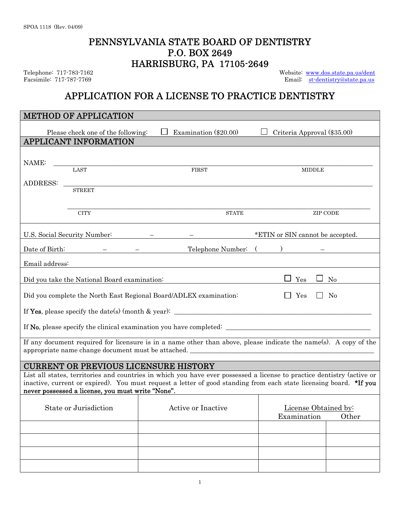## PENNSYLVANIA STATE BOARD OF DENTISTRY P.O. BOX 2649 HARRISBURG, PA 17105-2649

Telephone: 717-783-7162<br>
Facsimile: 717-787-7769<br>
Facsimile: 717-787-7769<br>
Email: st-dentistry@state.pa.us Email: [st-dentistry@state.pa.us](mailto:st-dentistry@state.pa.us)

## APPLICATION FOR A LICENSE TO PRACTICE DENTISTRY

| <b>METHOD OF APPLICATION</b>                                                                                     |                                                                                                                                                                                                                                              |                                              |  |  |  |  |  |  |
|------------------------------------------------------------------------------------------------------------------|----------------------------------------------------------------------------------------------------------------------------------------------------------------------------------------------------------------------------------------------|----------------------------------------------|--|--|--|--|--|--|
| Please check one of the following:                                                                               | Examination (\$20.00)                                                                                                                                                                                                                        | Criteria Approval (\$35.00)                  |  |  |  |  |  |  |
| <b>APPLICANT INFORMATION</b>                                                                                     |                                                                                                                                                                                                                                              |                                              |  |  |  |  |  |  |
| NAME:                                                                                                            |                                                                                                                                                                                                                                              |                                              |  |  |  |  |  |  |
| LAST                                                                                                             | <b>FIRST</b>                                                                                                                                                                                                                                 | <b>MIDDLE</b>                                |  |  |  |  |  |  |
| ADDRESS:                                                                                                         |                                                                                                                                                                                                                                              |                                              |  |  |  |  |  |  |
| <b>STREET</b>                                                                                                    |                                                                                                                                                                                                                                              |                                              |  |  |  |  |  |  |
| <b>CITY</b>                                                                                                      | $\operatorname{STATE}$                                                                                                                                                                                                                       | <b>ZIP CODE</b>                              |  |  |  |  |  |  |
| *ETIN or SIN cannot be accepted.<br>U.S. Social Security Number:                                                 |                                                                                                                                                                                                                                              |                                              |  |  |  |  |  |  |
| Date of Birth:                                                                                                   | Telephone Number:                                                                                                                                                                                                                            |                                              |  |  |  |  |  |  |
| Email address:                                                                                                   |                                                                                                                                                                                                                                              |                                              |  |  |  |  |  |  |
|                                                                                                                  |                                                                                                                                                                                                                                              |                                              |  |  |  |  |  |  |
| Yes<br>$\rm No$<br>Did you take the National Board examination:                                                  |                                                                                                                                                                                                                                              |                                              |  |  |  |  |  |  |
| Did you complete the North East Regional Board/ADLEX examination:<br>No<br>Yes                                   |                                                                                                                                                                                                                                              |                                              |  |  |  |  |  |  |
|                                                                                                                  |                                                                                                                                                                                                                                              |                                              |  |  |  |  |  |  |
|                                                                                                                  |                                                                                                                                                                                                                                              |                                              |  |  |  |  |  |  |
| If any document required for licensure is in a name other than above, please indicate the name(s). A copy of the |                                                                                                                                                                                                                                              |                                              |  |  |  |  |  |  |
| appropriate name change document must be attached.                                                               |                                                                                                                                                                                                                                              |                                              |  |  |  |  |  |  |
|                                                                                                                  |                                                                                                                                                                                                                                              |                                              |  |  |  |  |  |  |
| <b>CURRENT OR PREVIOUS LICENSURE HISTORY</b>                                                                     |                                                                                                                                                                                                                                              |                                              |  |  |  |  |  |  |
| never possessed a license, you must write "None".                                                                | List all states, territories and countries in which you have ever possessed a license to practice dentistry (active or<br>inactive, current or expired). You must request a letter of good standing from each state licensing board. *If you |                                              |  |  |  |  |  |  |
|                                                                                                                  |                                                                                                                                                                                                                                              |                                              |  |  |  |  |  |  |
| State or Jurisdiction                                                                                            | Active or Inactive                                                                                                                                                                                                                           | License Obtained by:<br>Examination<br>Other |  |  |  |  |  |  |
|                                                                                                                  |                                                                                                                                                                                                                                              |                                              |  |  |  |  |  |  |
|                                                                                                                  |                                                                                                                                                                                                                                              |                                              |  |  |  |  |  |  |
|                                                                                                                  |                                                                                                                                                                                                                                              |                                              |  |  |  |  |  |  |
|                                                                                                                  |                                                                                                                                                                                                                                              |                                              |  |  |  |  |  |  |
|                                                                                                                  |                                                                                                                                                                                                                                              |                                              |  |  |  |  |  |  |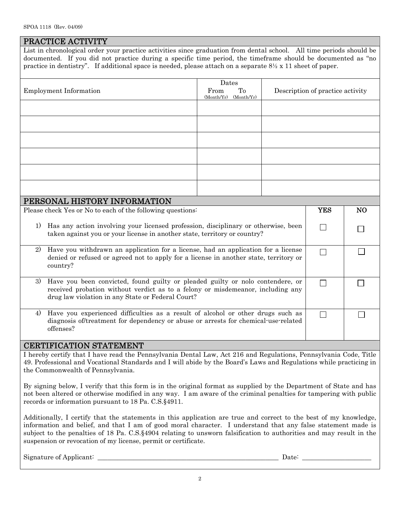|                                                                                                                                                                                              | PRACTICE ACTIVITY<br>List in chronological order your practice activities since graduation from dental school. All time periods should be                                                                                                                                |                                              |  |                                  |                |  |
|----------------------------------------------------------------------------------------------------------------------------------------------------------------------------------------------|--------------------------------------------------------------------------------------------------------------------------------------------------------------------------------------------------------------------------------------------------------------------------|----------------------------------------------|--|----------------------------------|----------------|--|
|                                                                                                                                                                                              | documented. If you did not practice during a specific time period, the timeframe should be documented as "no<br>practice in dentistry". If additional space is needed, please attach on a separate $8\frac{1}{2} \times 11$ sheet of paper.                              |                                              |  |                                  |                |  |
|                                                                                                                                                                                              |                                                                                                                                                                                                                                                                          |                                              |  |                                  |                |  |
| Employment Information                                                                                                                                                                       |                                                                                                                                                                                                                                                                          | Dates<br>To<br>From<br>(Month/Yr) (Month/Yr) |  | Description of practice activity |                |  |
|                                                                                                                                                                                              |                                                                                                                                                                                                                                                                          |                                              |  |                                  |                |  |
|                                                                                                                                                                                              |                                                                                                                                                                                                                                                                          |                                              |  |                                  |                |  |
|                                                                                                                                                                                              |                                                                                                                                                                                                                                                                          |                                              |  |                                  |                |  |
|                                                                                                                                                                                              |                                                                                                                                                                                                                                                                          |                                              |  |                                  |                |  |
|                                                                                                                                                                                              |                                                                                                                                                                                                                                                                          |                                              |  |                                  |                |  |
|                                                                                                                                                                                              |                                                                                                                                                                                                                                                                          |                                              |  |                                  |                |  |
|                                                                                                                                                                                              |                                                                                                                                                                                                                                                                          |                                              |  |                                  |                |  |
|                                                                                                                                                                                              |                                                                                                                                                                                                                                                                          |                                              |  |                                  |                |  |
|                                                                                                                                                                                              | PERSONAL HISTORY INFORMATION                                                                                                                                                                                                                                             |                                              |  |                                  |                |  |
| Please check Yes or No to each of the following questions:                                                                                                                                   |                                                                                                                                                                                                                                                                          |                                              |  | <b>YES</b>                       | N <sub>O</sub> |  |
| Has any action involving your licensed profession, disciplinary or otherwise, been<br>1)<br>taken against you or your license in another state, territory or country?                        |                                                                                                                                                                                                                                                                          |                                              |  |                                  |                |  |
| Have you withdrawn an application for a license, had an application for a license<br>2)<br>denied or refused or agreed not to apply for a license in another state, territory or<br>country? |                                                                                                                                                                                                                                                                          |                                              |  | $\mathbf{I}$                     |                |  |
| 3)                                                                                                                                                                                           | Have you been convicted, found guilty or pleaded guilty or nolo contendere, or<br>received probation without verdict as to a felony or misdemeanor, including any<br>drug law violation in any State or Federal Court?                                                   |                                              |  |                                  |                |  |
| Have you experienced difficulties as a result of alcohol or other drugs such as<br>4)<br>diagnosis of/treatment for dependency or abuse or arrests for chemical-use-related<br>offenses?     |                                                                                                                                                                                                                                                                          |                                              |  |                                  |                |  |
|                                                                                                                                                                                              |                                                                                                                                                                                                                                                                          |                                              |  |                                  |                |  |
|                                                                                                                                                                                              |                                                                                                                                                                                                                                                                          |                                              |  |                                  |                |  |
|                                                                                                                                                                                              | <b>CERTIFICATION STATEMENT</b><br>I hereby certify that I have read the Pennsylvania Dental Law, Act 216 and Regulations, Pennsylvania Code, Title<br>49. Professional and Vocational Standards and I will abide by the Board's Laws and Regulations while practicing in |                                              |  |                                  |                |  |

By signing below, I verify that this form is in the original format as supplied by the Department of State and has not been altered or otherwise modified in any way. I am aware of the criminal penalties for tampering with public records or information pursuant to 18 Pa. C.S.§4911.

Additionally, I certify that the statements in this application are true and correct to the best of my knowledge, information and belief, and that I am of good moral character. I understand that any false statement made is subject to the penalties of 18 Pa. C.S.§4904 relating to unsworn falsification to authorities and may result in the suspension or revocation of my license, permit or certificate.

Signature of Applicant: \_\_\_\_\_\_\_\_\_\_\_\_\_\_\_\_\_\_\_\_\_\_\_\_\_\_\_\_\_\_\_\_\_\_\_\_\_\_\_\_\_\_\_\_\_\_\_\_\_\_\_\_\_\_\_ Date: \_\_\_\_\_\_\_\_\_\_\_\_\_\_\_\_\_\_\_\_\_